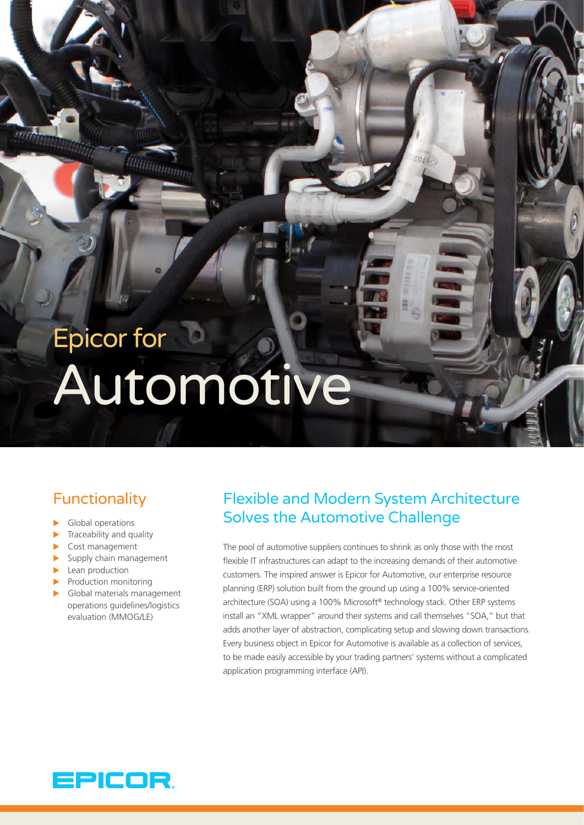# Epicor for Automotive

*WWW.* 

# **Functionality**

- $\blacktriangleright$  Global operations
- $\blacktriangleright$  Traceability and quality
- $\triangleright$  Cost management
- $\blacktriangleright$  Supply chain management
- $\blacktriangleright$  Lean production
- $\blacktriangleright$  Production monitoring
- $\blacktriangleright$  Global materials management operations guidelines/logistics evaluation (MMOG/LE)

### Flexible and Modern System Architecture Solves the Automotive Challenge

The pool of automotive suppliers continues to shrink as only those with the most flexible IT infrastructures can adapt to the increasing demands of their automotive customers. The inspired answer is Epicor for Automotive, our enterprise resource planning (ERP) solution built from the ground up using a 100% service-oriented architecture (SOA) using a 100% Microsoft® technology stack. Other ERP systems install an "XML wrapper" around their systems and call themselves "SOA," but that adds another layer of abstraction, complicating setup and slowing down transactions. Every business object in Epicor for Automotive is available as a collection of services, to be made easily accessible by your trading partners' systems without a complicated application programming interface (API).

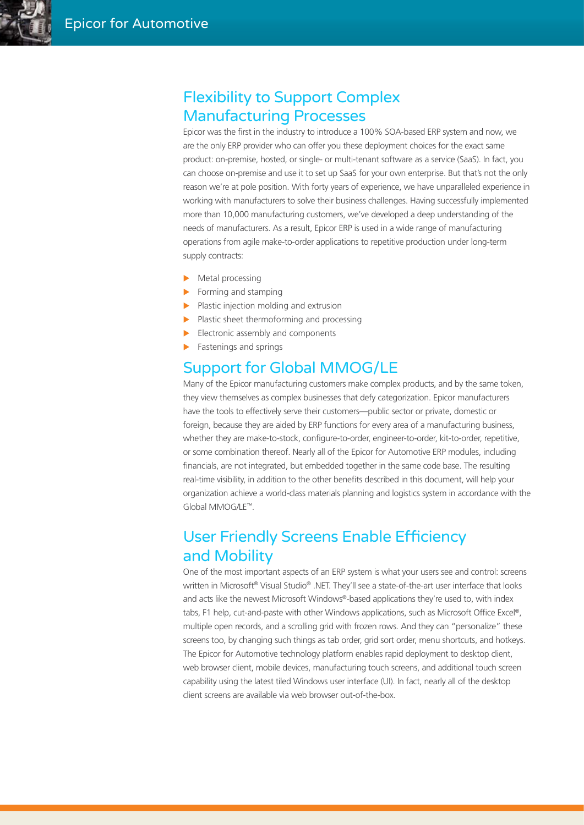#### Flexibility to Support Complex Manufacturing Processes

Epicor was the first in the industry to introduce a 100% SOA-based ERP system and now, we are the only ERP provider who can offer you these deployment choices for the exact same product: on-premise, hosted, or single- or multi-tenant software as a service (SaaS). In fact, you can choose on-premise and use it to set up SaaS for your own enterprise. But that's not the only reason we're at pole position. With forty years of experience, we have unparalleled experience in working with manufacturers to solve their business challenges. Having successfully implemented more than 10,000 manufacturing customers, we've developed a deep understanding of the needs of manufacturers. As a result, Epicor ERP is used in a wide range of manufacturing operations from agile make-to-order applications to repetitive production under long-term supply contracts:

- $\blacktriangleright$  Metal processing
- $\blacktriangleright$  Forming and stamping
- $\blacktriangleright$  Plastic injection molding and extrusion
- $\blacktriangleright$  Plastic sheet thermoforming and processing
- $\blacktriangleright$  Electronic assembly and components
- Fastenings and springs

#### Support for Global MMOG/LE

Many of the Epicor manufacturing customers make complex products, and by the same token, they view themselves as complex businesses that defy categorization. Epicor manufacturers have the tools to effectively serve their customers—public sector or private, domestic or foreign, because they are aided by ERP functions for every area of a manufacturing business, whether they are make-to-stock, configure-to-order, engineer-to-order, kit-to-order, repetitive, or some combination thereof. Nearly all of the Epicor for Automotive ERP modules, including financials, are not integrated, but embedded together in the same code base. The resulting real-time visibility, in addition to the other benefits described in this document, will help your organization achieve a world-class materials planning and logistics system in accordance with the Global MMOG/LE™.

# User Friendly Screens Enable Efficiency and Mobility

One of the most important aspects of an ERP system is what your users see and control: screens written in Microsoft® Visual Studio® .NET. They'll see a state-of-the-art user interface that looks and acts like the newest Microsoft Windows®-based applications they're used to, with index tabs, F1 help, cut-and-paste with other Windows applications, such as Microsoft Office Excel®, multiple open records, and a scrolling grid with frozen rows. And they can "personalize" these screens too, by changing such things as tab order, grid sort order, menu shortcuts, and hotkeys. The Epicor for Automotive technology platform enables rapid deployment to desktop client, web browser client, mobile devices, manufacturing touch screens, and additional touch screen capability using the latest tiled Windows user interface (UI). In fact, nearly all of the desktop client screens are available via web browser out-of-the-box.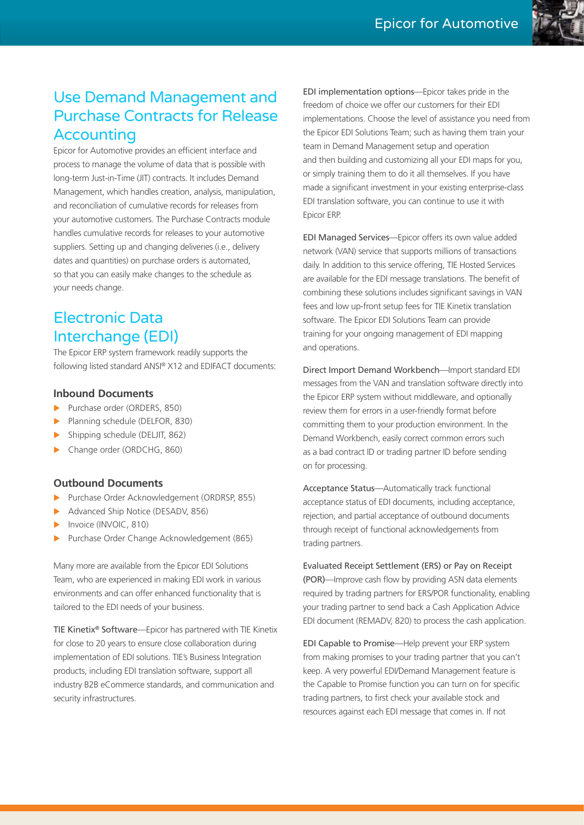# Use Demand Management and Purchase Contracts for Release **Accounting**

Epicor for Automotive provides an efficient interface and process to manage the volume of data that is possible with long-term Just-in-Time (JIT) contracts. It includes Demand Management, which handles creation, analysis, manipulation, and reconciliation of cumulative records for releases from your automotive customers. The Purchase Contracts module handles cumulative records for releases to your automotive suppliers. Setting up and changing deliveries (i.e., delivery dates and quantities) on purchase orders is automated, so that you can easily make changes to the schedule as your needs change.

# Electronic Data Interchange (EDI)

The Epicor ERP system framework readily supports the following listed standard ANSI® X12 and EDIFACT documents:

#### **Inbound Documents**

- Purchase order (ORDERS, 850)
- Planning schedule (DELFOR, 830)
- Shipping schedule (DELJIT, 862)
- Change order (ORDCHG, 860)

#### **Outbound Documents**

- Purchase Order Acknowledgement (ORDRSP, 855)
- Advanced Ship Notice (DESADV, 856)
- Invoice (INVOIC, 810)
- Purchase Order Change Acknowledgement (865)

Many more are available from the Epicor EDI Solutions Team, who are experienced in making EDI work in various environments and can offer enhanced functionality that is tailored to the EDI needs of your business.

TIE Kinetix® Software—Epicor has partnered with TIE Kinetix for close to 20 years to ensure close collaboration during implementation of EDI solutions. TIE's Business Integration products, including EDI translation software, support all industry B2B eCommerce standards, and communication and security infrastructures.

EDI implementation options—Epicor takes pride in the freedom of choice we offer our customers for their EDI implementations. Choose the level of assistance you need from the Epicor EDI Solutions Team; such as having them train your team in Demand Management setup and operation and then building and customizing all your EDI maps for you, or simply training them to do it all themselves. If you have made a significant investment in your existing enterprise-class EDI translation software, you can continue to use it with Epicor ERP.

EDI Managed Services—Epicor offers its own value added network (VAN) service that supports millions of transactions daily. In addition to this service offering, TIE Hosted Services are available for the EDI message translations. The benefit of combining these solutions includes significant savings in VAN fees and low up-front setup fees for TIE Kinetix translation software. The Epicor EDI Solutions Team can provide training for your ongoing management of EDI mapping and operations.

Direct Import Demand Workbench—Import standard EDI messages from the VAN and translation software directly into the Epicor ERP system without middleware, and optionally review them for errors in a user-friendly format before committing them to your production environment. In the Demand Workbench, easily correct common errors such as a bad contract ID or trading partner ID before sending on for processing.

Acceptance Status—Automatically track functional acceptance status of EDI documents, including acceptance, rejection, and partial acceptance of outbound documents through receipt of functional acknowledgements from trading partners.

Evaluated Receipt Settlement (ERS) or Pay on Receipt (POR)—Improve cash flow by providing ASN data elements required by trading partners for ERS/POR functionality, enabling your trading partner to send back a Cash Application Advice EDI document (REMADV, 820) to process the cash application.

EDI Capable to Promise—Help prevent your ERP system from making promises to your trading partner that you can't keep. A very powerful EDI/Demand Management feature is the Capable to Promise function you can turn on for specific trading partners, to first check your available stock and resources against each EDI message that comes in. If not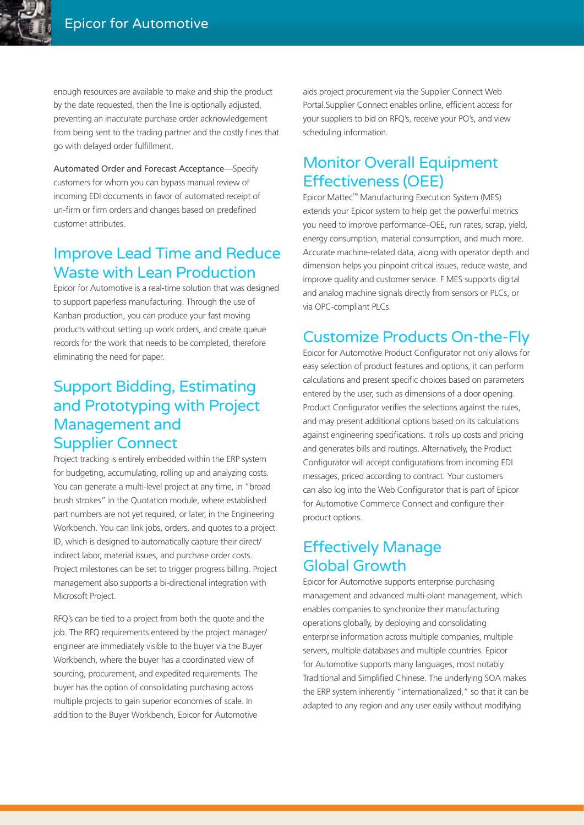enough resources are available to make and ship the product by the date requested, then the line is optionally adjusted, preventing an inaccurate purchase order acknowledgement from being sent to the trading partner and the costly fines that go with delayed order fulfillment.

Automated Order and Forecast Acceptance—Specify customers for whom you can bypass manual review of incoming EDI documents in favor of automated receipt of un-firm or firm orders and changes based on predefined customer attributes.

# Improve Lead Time and Reduce Waste with Lean Production

Epicor for Automotive is a real-time solution that was designed to support paperless manufacturing. Through the use of Kanban production, you can produce your fast moving products without setting up work orders, and create queue records for the work that needs to be completed, therefore eliminating the need for paper.

# Support Bidding, Estimating and Prototyping with Project Management and Supplier Connect

Project tracking is entirely embedded within the ERP system for budgeting, accumulating, rolling up and analyzing costs. You can generate a multi-level project at any time, in "broad brush strokes" in the Quotation module, where established part numbers are not yet required, or later, in the Engineering Workbench. You can link jobs, orders, and quotes to a project ID, which is designed to automatically capture their direct/ indirect labor, material issues, and purchase order costs. Project milestones can be set to trigger progress billing. Project management also supports a bi-directional integration with Microsoft Project.

RFQ's can be tied to a project from both the quote and the job. The RFQ requirements entered by the project manager/ engineer are immediately visible to the buyer via the Buyer Workbench, where the buyer has a coordinated view of sourcing, procurement, and expedited requirements. The buyer has the option of consolidating purchasing across multiple projects to gain superior economies of scale. In addition to the Buyer Workbench, Epicor for Automotive

aids project procurement via the Supplier Connect Web Portal.Supplier Connect enables online, efficient access for your suppliers to bid on RFQ's, receive your PO's, and view scheduling information.

### Monitor Overall Equipment Effectiveness (OEE)

Epicor Mattec™ Manufacturing Execution System (MES) extends your Epicor system to help get the powerful metrics you need to improve performance–OEE, run rates, scrap, yield, energy consumption, material consumption, and much more. Accurate machine-related data, along with operator depth and dimension helps you pinpoint critical issues, reduce waste, and improve quality and customer service. F MES supports digital and analog machine signals directly from sensors or PLCs, or via OPC-compliant PLCs.

### Customize Products On-the-Fly

Epicor for Automotive Product Configurator not only allows for easy selection of product features and options, it can perform calculations and present specific choices based on parameters entered by the user, such as dimensions of a door opening. Product Configurator verifies the selections against the rules, and may present additional options based on its calculations against engineering specifications. It rolls up costs and pricing and generates bills and routings. Alternatively, the Product Configurator will accept configurations from incoming EDI messages, priced according to contract. Your customers can also log into the Web Configurator that is part of Epicor for Automotive Commerce Connect and configure their product options.

### Effectively Manage Global Growth

Epicor for Automotive supports enterprise purchasing management and advanced multi-plant management, which enables companies to synchronize their manufacturing operations globally, by deploying and consolidating enterprise information across multiple companies, multiple servers, multiple databases and multiple countries. Epicor for Automotive supports many languages, most notably Traditional and Simplified Chinese. The underlying SOA makes the ERP system inherently "internationalized," so that it can be adapted to any region and any user easily without modifying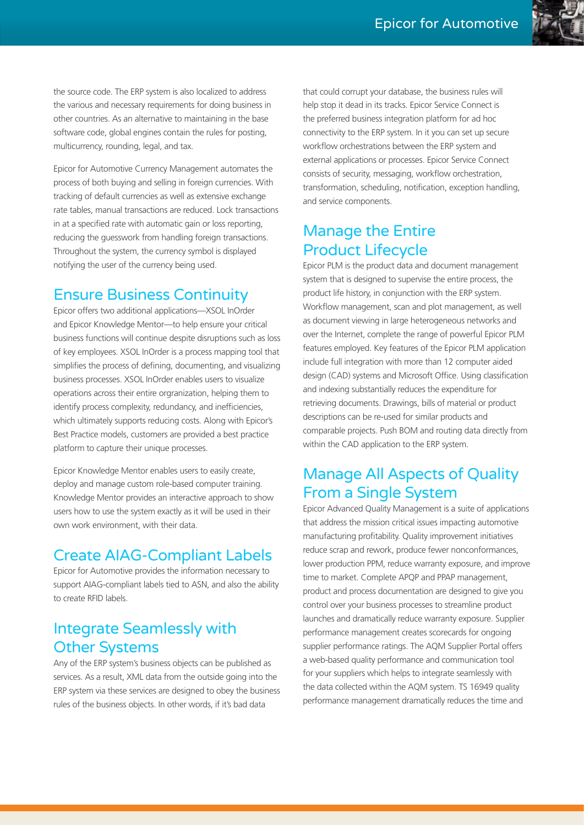the source code. The ERP system is also localized to address the various and necessary requirements for doing business in other countries. As an alternative to maintaining in the base software code, global engines contain the rules for posting, multicurrency, rounding, legal, and tax.

Epicor for Automotive Currency Management automates the process of both buying and selling in foreign currencies. With tracking of default currencies as well as extensive exchange rate tables, manual transactions are reduced. Lock transactions in at a specified rate with automatic gain or loss reporting, reducing the guesswork from handling foreign transactions. Throughout the system, the currency symbol is displayed notifying the user of the currency being used.

#### Ensure Business Continuity

Epicor offers two additional applications—XSOL InOrder and Epicor Knowledge Mentor—to help ensure your critical business functions will continue despite disruptions such as loss of key employees. XSOL InOrder is a process mapping tool that simplifies the process of defining, documenting, and visualizing business processes. XSOL InOrder enables users to visualize operations across their entire orgranization, helping them to identify process complexity, redundancy, and inefficiencies, which ultimately supports reducing costs. Along with Epicor's Best Practice models, customers are provided a best practice platform to capture their unique processes.

Epicor Knowledge Mentor enables users to easily create, deploy and manage custom role-based computer training. Knowledge Mentor provides an interactive approach to show users how to use the system exactly as it will be used in their own work environment, with their data.

#### Create AIAG-Compliant Labels

Epicor for Automotive provides the information necessary to support AIAG-compliant labels tied to ASN, and also the ability to create RFID labels.

#### Integrate Seamlessly with Other Systems

Any of the ERP system's business objects can be published as services. As a result, XML data from the outside going into the ERP system via these services are designed to obey the business rules of the business objects. In other words, if it's bad data

that could corrupt your database, the business rules will help stop it dead in its tracks. Epicor Service Connect is the preferred business integration platform for ad hoc connectivity to the ERP system. In it you can set up secure workflow orchestrations between the ERP system and external applications or processes. Epicor Service Connect consists of security, messaging, workflow orchestration, transformation, scheduling, notification, exception handling, and service components.

#### Manage the Entire Product Lifecycle

Epicor PLM is the product data and document management system that is designed to supervise the entire process, the product life history, in conjunction with the ERP system. Workflow management, scan and plot management, as well as document viewing in large heterogeneous networks and over the Internet, complete the range of powerful Epicor PLM features employed. Key features of the Epicor PLM application include full integration with more than 12 computer aided design (CAD) systems and Microsoft Office. Using classification and indexing substantially reduces the expenditure for retrieving documents. Drawings, bills of material or product descriptions can be re-used for similar products and comparable projects. Push BOM and routing data directly from within the CAD application to the ERP system.

# Manage All Aspects of Quality From a Single System

Epicor Advanced Quality Management is a suite of applications that address the mission critical issues impacting automotive manufacturing profitability. Quality improvement initiatives reduce scrap and rework, produce fewer nonconformances, lower production PPM, reduce warranty exposure, and improve time to market. Complete APQP and PPAP management, product and process documentation are designed to give you control over your business processes to streamline product launches and dramatically reduce warranty exposure. Supplier performance management creates scorecards for ongoing supplier performance ratings. The AQM Supplier Portal offers a web-based quality performance and communication tool for your suppliers which helps to integrate seamlessly with the data collected within the AQM system. TS 16949 quality performance management dramatically reduces the time and